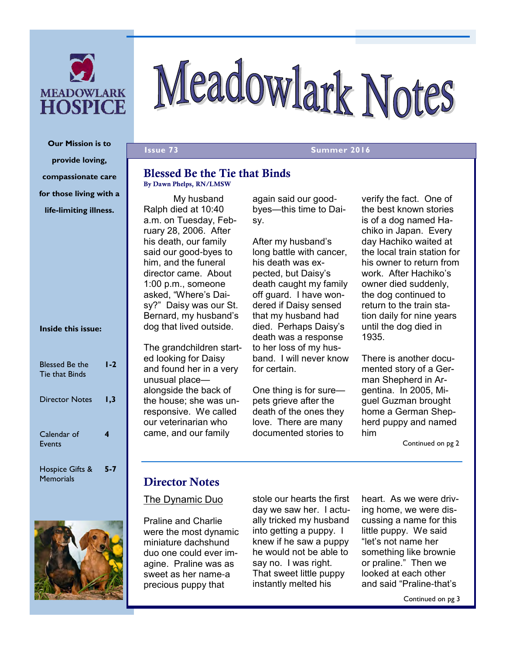

# Meadowlark Notes

**Issue 73** Summer 2016

#### **Blessed Be the Tie that Binds By Dawn Phelps, RN/LMSW**

My husband Ralph died at 10:40 a.m. on Tuesday, February 28, 2006. After his death, our family said our good-byes to him, and the funeral director came. About 1:00 p.m., someone asked, "Where's Daisy?" Daisy was our St. Bernard, my husband's dog that lived outside.

The grandchildren started looking for Daisy and found her in a very unusual place alongside the back of the house; she was unresponsive. We called our veterinarian who came, and our family

again said our goodbyes—this time to Daisy.

After my husband's long battle with cancer, his death was expected, but Daisy's death caught my family off guard. I have wondered if Daisy sensed that my husband had died. Perhaps Daisy's death was a response to her loss of my husband. I will never know for certain.

One thing is for sure pets grieve after the death of the ones they love. There are many documented stories to

verify the fact. One of the best known stories is of a dog named Hachiko in Japan. Every day Hachiko waited at the local train station for his owner to return from work. After Hachiko's owner died suddenly, the dog continued to return to the train station daily for nine years until the dog died in 1935.

There is another documented story of a German Shepherd in Argentina. In 2005, Miguel Guzman brought home a German Shepherd puppy and named him

Continued on pg 2

#### **Director Notes**

#### The Dynamic Duo

Praline and Charlie were the most dynamic miniature dachshund duo one could ever imagine. Praline was as sweet as her name-a precious puppy that

stole our hearts the first day we saw her. I actually tricked my husband into getting a puppy. I knew if he saw a puppy he would not be able to say no. I was right. That sweet little puppy instantly melted his

heart. As we were driving home, we were discussing a name for this little puppy. We said "let's not name her something like brownie or praline." Then we looked at each other and said "Praline-that's

Continued on pg 3

**Our Mission is to provide loving, compassionate care for those living with a life-limiting illness.**

#### **Inside this issue:**

| <b>Blessed Be the</b><br><b>Tie that Binds</b> | 1-2     |
|------------------------------------------------|---------|
| Director Notes                                 | I.3     |
| Calendar of<br>Events                          | 4       |
| Hospice Gifts &<br>Memorials                   | $5 - 7$ |

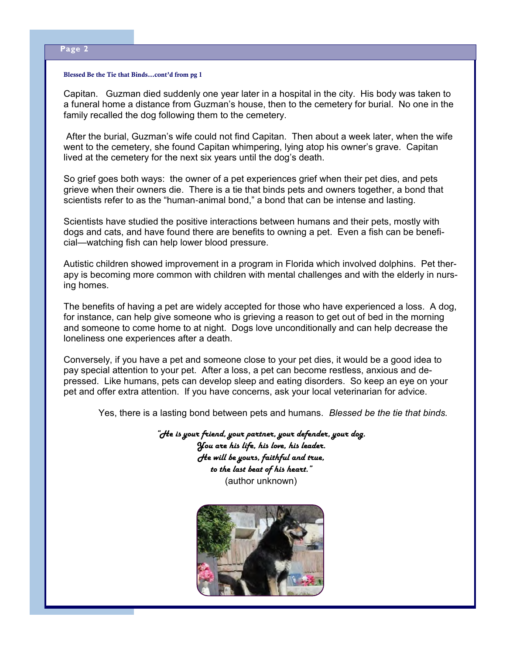#### **Blessed Be the Tie that Binds...cont'd from pg 1**

Capitan. Guzman died suddenly one year later in a hospital in the city. His body was taken to a funeral home a distance from Guzman's house, then to the cemetery for burial. No one in the family recalled the dog following them to the cemetery.

 After the burial, Guzman's wife could not find Capitan. Then about a week later, when the wife went to the cemetery, she found Capitan whimpering, lying atop his owner's grave. Capitan lived at the cemetery for the next six years until the dog's death.

So grief goes both ways: the owner of a pet experiences grief when their pet dies, and pets grieve when their owners die. There is a tie that binds pets and owners together, a bond that scientists refer to as the "human-animal bond," a bond that can be intense and lasting.

Scientists have studied the positive interactions between humans and their pets, mostly with dogs and cats, and have found there are benefits to owning a pet. Even a fish can be beneficial—watching fish can help lower blood pressure.

Autistic children showed improvement in a program in Florida which involved dolphins. Pet therapy is becoming more common with children with mental challenges and with the elderly in nursing homes.

The benefits of having a pet are widely accepted for those who have experienced a loss. A dog, for instance, can help give someone who is grieving a reason to get out of bed in the morning and someone to come home to at night. Dogs love unconditionally and can help decrease the loneliness one experiences after a death.

Conversely, if you have a pet and someone close to your pet dies, it would be a good idea to pay special attention to your pet. After a loss, a pet can become restless, anxious and depressed. Like humans, pets can develop sleep and eating disorders. So keep an eye on your pet and offer extra attention. If you have concerns, ask your local veterinarian for advice.

Yes, there is a lasting bond between pets and humans. *Blessed be the tie that binds.* 

*"He is your friend, your partner, your defender, your dog. You are his life, his love, his leader. He will be yours, faithful and true, to the last beat of his heart."* (author unknown)

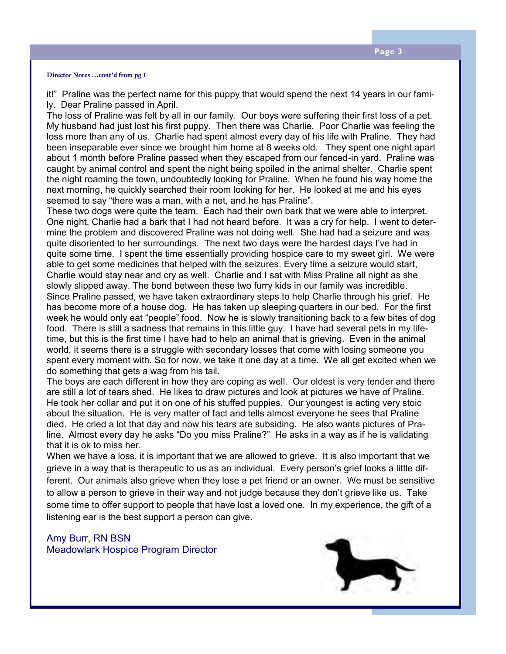#### **Director Notes ...cont'd from pg 1**

it!" Praline was the perfect name for this puppy that would spend the next 14 years in our family. Dear Praline passed in April.

The loss of Praline was felt by all in our family. Our boys were suffering their first loss of a pet. My husband had just lost his first puppy. Then there was Charlie. Poor Charlie was feeling the loss more than any of us. Charlie had spent almost every day of his life with Praline. They had been inseparable ever since we brought him home at 8 weeks old. They spent one night apart about 1 month before Praline passed when they escaped from our fenced-in yard. Praline was caught by animal control and spent the night being spoiled in the animal shelter. Charlie spent the night roaming the town, undoubtedly looking for Praline. When he found his way home the next morning, he quickly searched their room looking for her. He looked at me and his eyes seemed to say "there was a man, with a net, and he has Praline".

These two dogs were quite the team. Each had their own bark that we were able to interpret. One night, Charlie had a bark that I had not heard before. It was a cry for help. I went to determine the problem and discovered Praline was not doing well. She had had a seizure and was quite disoriented to her surroundings. The next two days were the hardest days I've had in quite some time. I spent the time essentially providing hospice care to my sweet girl. We were able to get some medicines that helped with the seizures. Every time a seizure would start, Charlie would stay near and cry as well. Charlie and I sat with Miss Praline all night as she slowly slipped away. The bond between these two furry kids in our family was incredible. Since Praline passed, we have taken extraordinary steps to help Charlie through his grief. He has become more of a house dog. He has taken up sleeping quarters in our bed. For the first week he would only eat "people" food. Now he is slowly transitioning back to a few bites of dog food. There is still a sadness that remains in this little guy. I have had several pets in my lifetime, but this is the first time I have had to help an animal that is grieving. Even in the animal world, it seems there is a struggle with secondary losses that come with losing someone you spent every moment with. So for now, we take it one day at a time. We all get excited when we do something that gets a wag from his tail.

The boys are each different in how they are coping as well. Our oldest is very tender and there are still a lot of tears shed. He likes to draw pictures and look at pictures we have of Praline. He took her collar and put it on one of his stuffed puppies. Our youngest is acting very stoic about the situation. He is very matter of fact and tells almost everyone he sees that Praline died. He cried a lot that day and now his tears are subsiding. He also wants pictures of Praline. Almost every day he asks "Do you miss Praline?" He asks in a way as if he is validating that it is ok to miss her.

When we have a loss, it is important that we are allowed to grieve. It is also important that we grieve in a way that is therapeutic to us as an individual. Every person's grief looks a little different. Our animals also grieve when they lose a pet friend or an owner. We must be sensitive to allow a person to grieve in their way and not judge because they don't grieve like us. Take some time to offer support to people that have lost a loved one. In my experience, the gift of a listening ear is the best support a person can give.

#### Amy Burr, RN BSN Meadowlark Hospice Program Director

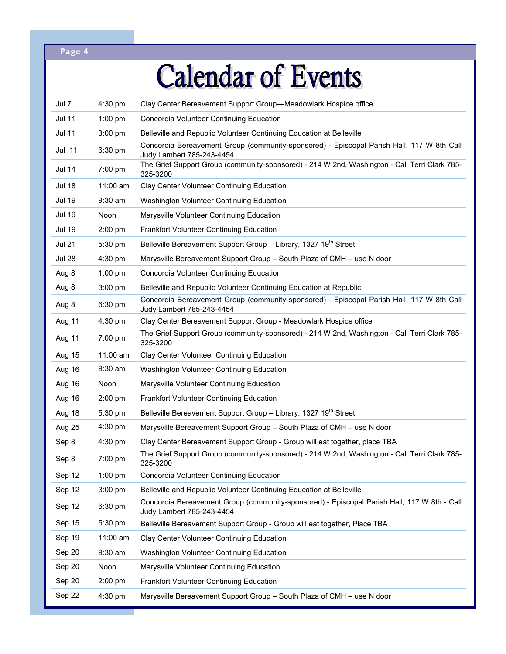#### **Page 4**

# **Calendar of Events**

| Jul 7         | 4:30 pm    | Clay Center Bereavement Support Group-Meadowlark Hospice office                                                          |
|---------------|------------|--------------------------------------------------------------------------------------------------------------------------|
| <b>Jul 11</b> | $1:00$ pm  | Concordia Volunteer Continuing Education                                                                                 |
| <b>Jul 11</b> | 3:00 pm    | Belleville and Republic Volunteer Continuing Education at Belleville                                                     |
| Jul 11        | 6:30 pm    | Concordia Bereavement Group (community-sponsored) - Episcopal Parish Hall, 117 W 8th Call<br>Judy Lambert 785-243-4454   |
| <b>Jul 14</b> | $7:00$ pm  | The Grief Support Group (community-sponsored) - 214 W 2nd, Washington - Call Terri Clark 785-<br>325-3200                |
| <b>Jul 18</b> | $11:00$ am | Clay Center Volunteer Continuing Education                                                                               |
| <b>Jul 19</b> | $9:30$ am  | Washington Volunteer Continuing Education                                                                                |
| <b>Jul 19</b> | Noon       | Marysville Volunteer Continuing Education                                                                                |
| <b>Jul 19</b> | $2:00$ pm  | <b>Frankfort Volunteer Continuing Education</b>                                                                          |
| <b>Jul 21</b> | 5:30 pm    | Belleville Bereavement Support Group - Library, 1327 19 <sup>th</sup> Street                                             |
| <b>Jul 28</b> | 4:30 pm    | Marysville Bereavement Support Group - South Plaza of CMH - use N door                                                   |
| Aug 8         | $1:00$ pm  | Concordia Volunteer Continuing Education                                                                                 |
| Aug 8         | 3:00 pm    | Belleville and Republic Volunteer Continuing Education at Republic                                                       |
| Aug 8         | 6:30 pm    | Concordia Bereavement Group (community-sponsored) - Episcopal Parish Hall, 117 W 8th Call<br>Judy Lambert 785-243-4454   |
| Aug 11        | 4:30 pm    | Clay Center Bereavement Support Group - Meadowlark Hospice office                                                        |
| Aug 11        | $7:00$ pm  | The Grief Support Group (community-sponsored) - 214 W 2nd, Washington - Call Terri Clark 785-<br>325-3200                |
| Aug 15        | $11:00$ am | Clay Center Volunteer Continuing Education                                                                               |
| Aug 16        | $9:30$ am  | Washington Volunteer Continuing Education                                                                                |
| Aug 16        | Noon       | Marysville Volunteer Continuing Education                                                                                |
| Aug 16        | $2:00$ pm  | Frankfort Volunteer Continuing Education                                                                                 |
| Aug 18        | 5:30 pm    | Belleville Bereavement Support Group - Library, 1327 19 <sup>th</sup> Street                                             |
| Aug 25        | $4:30$ pm  | Marysville Bereavement Support Group - South Plaza of CMH - use N door                                                   |
| Sep 8         | $4:30$ pm  | Clay Center Bereavement Support Group - Group will eat together, place TBA                                               |
| Sep 8         | 7:00 pm    | The Grief Support Group (community-sponsored) - 214 W 2nd, Washington - Call Terri Clark 785-<br>325-3200                |
| Sep 12        | 1:00 pm    | Concordia Volunteer Continuing Education                                                                                 |
| Sep 12        | $3:00$ pm  | Belleville and Republic Volunteer Continuing Education at Belleville                                                     |
| Sep 12        | 6:30 pm    | Concordia Bereavement Group (community-sponsored) - Episcopal Parish Hall, 117 W 8th - Call<br>Judy Lambert 785-243-4454 |
| Sep 15        | 5:30 pm    | Belleville Bereavement Support Group - Group will eat together, Place TBA                                                |
| Sep 19        | 11:00 am   | Clay Center Volunteer Continuing Education                                                                               |
| Sep 20        | $9:30$ am  | Washington Volunteer Continuing Education                                                                                |
| Sep 20        | Noon       | Marysville Volunteer Continuing Education                                                                                |
| Sep 20        | $2:00$ pm  | Frankfort Volunteer Continuing Education                                                                                 |
| Sep 22        | $4:30$ pm  | Marysville Bereavement Support Group - South Plaza of CMH - use N door                                                   |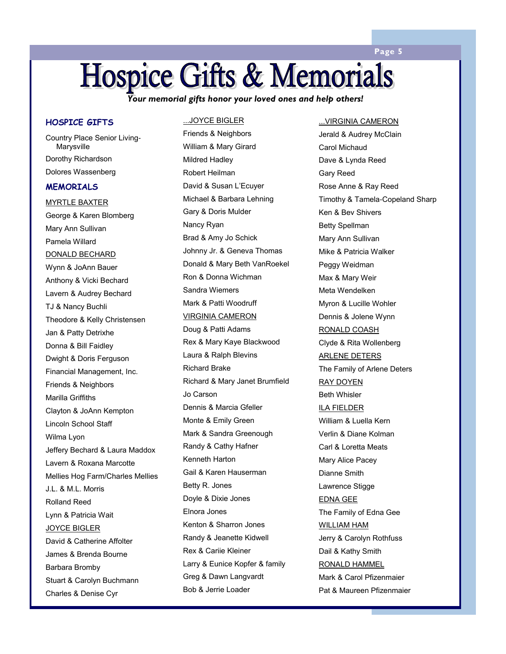#### **Page 5**

### **Hospice Gifts & Memorials**

*Your memorial gifts honor your loved ones and help others!* 

#### **HOSPICE GIFTS**

Country Place Senior Living-**Marysville** Dorothy Richardson Dolores Wassenberg

#### **MEMORIALS**

MYRTLE BAXTER George & Karen Blomberg Mary Ann Sullivan Pamela Willard DONALD BECHARD Wynn & JoAnn Bauer Anthony & Vicki Bechard Lavern & Audrey Bechard TJ & Nancy Buchli Theodore & Kelly Christensen Jan & Patty Detrixhe Donna & Bill Faidley Dwight & Doris Ferguson Financial Management, Inc. Friends & Neighbors Marilla Griffiths Clayton & JoAnn Kempton Lincoln School Staff Wilma Lyon Jeffery Bechard & Laura Maddox Lavern & Roxana Marcotte Mellies Hog Farm/Charles Mellies J.L. & M.L. Morris Rolland Reed Lynn & Patricia Wait JOYCE BIGLER David & Catherine Affolter James & Brenda Bourne Barbara Bromby Stuart & Carolyn Buchmann Charles & Denise Cyr

#### ...JOYCE BIGLER

Friends & Neighbors William & Mary Girard Mildred Hadley Robert Heilman David & Susan L'Ecuyer Michael & Barbara Lehning Gary & Doris Mulder Nancy Ryan Brad & Amy Jo Schick Johnny Jr. & Geneva Thomas Donald & Mary Beth VanRoekel Ron & Donna Wichman Sandra Wiemers Mark & Patti Woodruff VIRGINIA CAMERON Doug & Patti Adams Rex & Mary Kaye Blackwood Laura & Ralph Blevins Richard Brake Richard & Mary Janet Brumfield Jo Carson Dennis & Marcia Gfeller Monte & Emily Green Mark & Sandra Greenough Randy & Cathy Hafner Kenneth Harton Gail & Karen Hauserman Betty R. Jones Doyle & Dixie Jones Elnora Jones Kenton & Sharron Jones Randy & Jeanette Kidwell Rex & Cariie Kleiner Larry & Eunice Kopfer & family Greg & Dawn Langvardt Bob & Jerrie Loader

#### ...VIRGINIA CAMERON

Jerald & Audrey McClain Carol Michaud Dave & Lynda Reed Gary Reed Rose Anne & Ray Reed Timothy & Tamela-Copeland Sharp Ken & Bev Shivers Betty Spellman Mary Ann Sullivan Mike & Patricia Walker Peggy Weidman Max & Mary Weir Meta Wendelken Myron & Lucille Wohler Dennis & Jolene Wynn RONALD COASH Clyde & Rita Wollenberg ARLENE DETERS The Family of Arlene Deters RAY DOYEN Beth Whisler ILA FIELDER William & Luella Kern Verlin & Diane Kolman Carl & Loretta Meats Mary Alice Pacey Dianne Smith Lawrence Stigge EDNA GEE The Family of Edna Gee WILLIAM HAM Jerry & Carolyn Rothfuss Dail & Kathy Smith RONALD HAMMEL Mark & Carol Pfizenmaier Pat & Maureen Pfizenmaier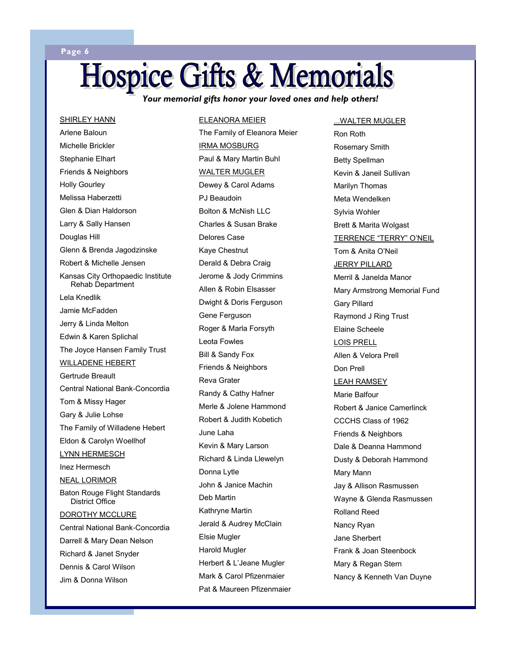# **Hospice Gifts & Memorials**

ELEANORA MEIER

*Your memorial gifts honor your loved ones and help others!* 

Arlene Baloun Michelle Brickler Stephanie Elhart Friends & Neighbors Holly Gourley Melissa Haberzetti Glen & Dian Haldorson Larry & Sally Hansen Douglas Hill Glenn & Brenda Jagodzinske Robert & Michelle Jensen Kansas City Orthopaedic Institute Rehab Department Lela Knedlik Jamie McFadden Jerry & Linda Melton Edwin & Karen Splichal The Joyce Hansen Family Trust WILLADENE HEBERT Gertrude Breault Central National Bank-Concordia Tom & Missy Hager Gary & Julie Lohse The Family of Willadene Hebert Eldon & Carolyn Woellhof LYNN HERMESCH Inez Hermesch NEAL LORIMOR Baton Rouge Flight Standards District Office DOROTHY MCCLURE Central National Bank-Concordia Darrell & Mary Dean Nelson Richard & Janet Snyder Dennis & Carol Wilson Jim & Donna Wilson

SHIRLEY HANN

**Page 6** 

The Family of Eleanora Meier IRMA MOSBURG Paul & Mary Martin Buhl WALTER MUGLER Dewey & Carol Adams PJ Beaudoin Bolton & McNish LLC Charles & Susan Brake Delores Case Kaye Chestnut Derald & Debra Craig Jerome & Jody Crimmins Allen & Robin Elsasser Dwight & Doris Ferguson Gene Ferguson Roger & Marla Forsyth Leota Fowles Bill & Sandy Fox Friends & Neighbors Reva Grater Randy & Cathy Hafner Merle & Jolene Hammond Robert & Judith Kobetich June Laha Kevin & Mary Larson Richard & Linda Llewelyn Donna Lytle John & Janice Machin Deb Martin Kathryne Martin Jerald & Audrey McClain Elsie Mugler Harold Mugler Herbert & L'Jeane Mugler Mark & Carol Pfizenmaier Pat & Maureen Pfizenmaier

Ron Roth Rosemary Smith Betty Spellman Kevin & Janeil Sullivan Marilyn Thomas Meta Wendelken Sylvia Wohler Brett & Marita Wolgast TERRENCE "TERRY" O'NEIL Tom & Anita O'Neil JERRY PILLARD Merril & Janelda Manor Mary Armstrong Memorial Fund Gary Pillard Raymond J Ring Trust Elaine Scheele LOIS PRELL Allen & Velora Prell Don Prell LEAH RAMSEY Marie Balfour Robert & Janice Camerlinck CCCHS Class of 1962 Friends & Neighbors Dale & Deanna Hammond Dusty & Deborah Hammond Mary Mann Jay & Allison Rasmussen

...WALTER MUGLER

Wayne & Glenda Rasmussen Rolland Reed Nancy Ryan Jane Sherbert Frank & Joan Steenbock Mary & Regan Stern Nancy & Kenneth Van Duyne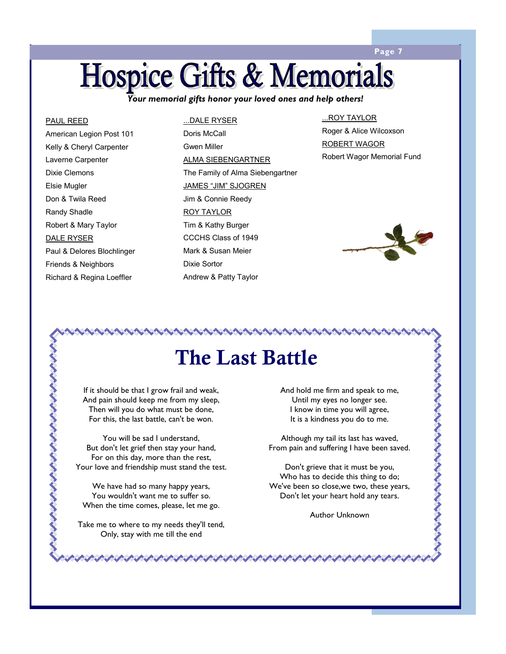### **Page 7**

### **Hospice Gifts & Memorials**

*Your memorial gifts honor your loved ones and help others!* 

#### PAUL REED

ハントリング アントリングリング

American Legion Post 101 Kelly & Cheryl Carpenter Laverne Carpenter Dixie Clemons Elsie Mugler Don & Twila Reed Randy Shadle Robert & Mary Taylor DALE RYSER Paul & Delores Blochlinger Friends & Neighbors Richard & Regina Loeffler

#### ...DALE RYSER

Doris McCall Gwen Miller ALMA SIEBENGARTNER The Family of Alma Siebengartner JAMES "JIM" SJOGREN Jim & Connie Reedy ROY TAYLOR Tim & Kathy Burger CCCHS Class of 1949 Mark & Susan Meier Dixie Sortor Andrew & Patty Taylor

#### ...ROY TAYLOR Roger & Alice Wilcoxson

ROBERT WAGOR Robert Wagor Memorial Fund



くくくくくくくくくくくくくくくく

### **The Last Battle**

If it should be that I grow frail and weak, And pain should keep me from my sleep, Then will you do what must be done, For this, the last battle, can't be won.

You will be sad I understand, But don't let grief then stay your hand, For on this day, more than the rest, Your love and friendship must stand the test.

We have had so many happy years, You wouldn't want me to suffer so. When the time comes, please, let me go.

Take me to where to my needs they'll tend, Only, stay with me till the end

And hold me firm and speak to me, Until my eyes no longer see. I know in time you will agree, It is a kindness you do to me.

Although my tail its last has waved, From pain and suffering I have been saved.

Don't grieve that it must be you, Who has to decide this thing to do; We've been so close,we two, these years, Don't let your heart hold any tears.

Author Unknown